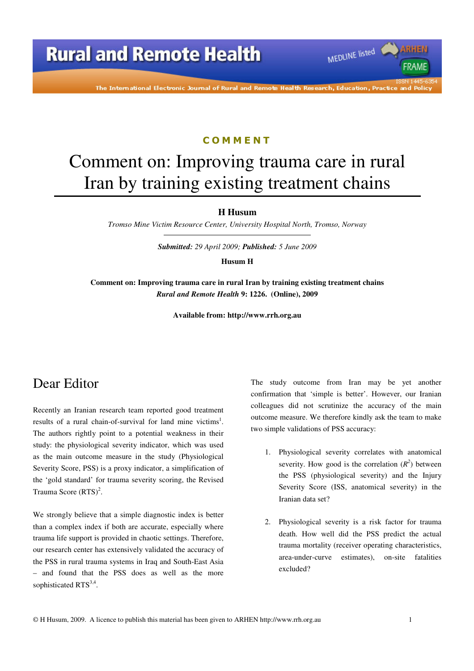

#### C O M M E N T

# Comment on: Improving trauma care in rural Iran by training existing treatment chains

**H Husum** 

*Tromso Mine Victim Resource Center, University Hospital North, Tromso, Norway* 

*Submitted: 29 April 2009; Published: 5 June 2009* 

**Husum H** 

**Comment on: Improving trauma care in rural Iran by training existing treatment chains**  *Rural and Remote Health* **9: 1226. (Online), 2009** 

**Available from: http://www.rrh.org.au** 

### Dear Editor

Recently an Iranian research team reported good treatment results of a rural chain-of-survival for land mine victims<sup>1</sup>. The authors rightly point to a potential weakness in their study: the physiological severity indicator, which was used as the main outcome measure in the study (Physiological Severity Score, PSS) is a proxy indicator, a simplification of the 'gold standard' for trauma severity scoring, the Revised Trauma Score  $(RTS)^2$ .

We strongly believe that a simple diagnostic index is better than a complex index if both are accurate, especially where trauma life support is provided in chaotic settings. Therefore, our research center has extensively validated the accuracy of the PSS in rural trauma systems in Iraq and South-East Asia – and found that the PSS does as well as the more sophisticated RTS<sup>3,4</sup>.

The study outcome from Iran may be yet another confirmation that 'simple is better'. However, our Iranian colleagues did not scrutinize the accuracy of the main outcome measure. We therefore kindly ask the team to make two simple validations of PSS accuracy:

MEDLINE listed

FRAME

- 1. Physiological severity correlates with anatomical severity. How good is the correlation  $(R^2)$  between the PSS (physiological severity) and the Injury Severity Score (ISS, anatomical severity) in the Iranian data set?
- 2. Physiological severity is a risk factor for trauma death. How well did the PSS predict the actual trauma mortality (receiver operating characteristics, area-under-curve estimates), on-site fatalities excluded?